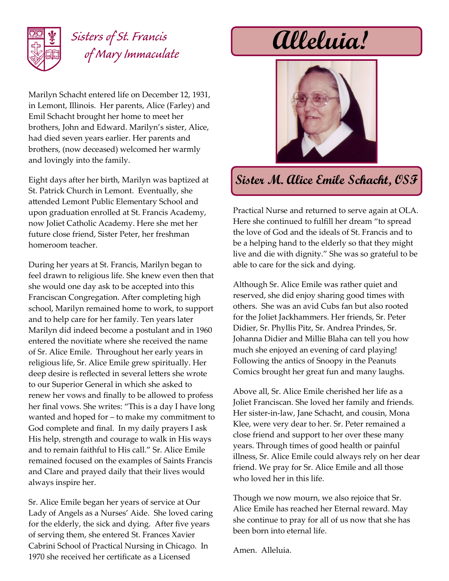

## *Sisters of St. Francis of Mary Immaculate*

Marilyn Schacht entered life on December 12, 1931, in Lemont, Illinois. Her parents, Alice (Farley) and Emil Schacht brought her home to meet her brothers, John and Edward. Marilyn's sister, Alice, had died seven years earlier. Her parents and brothers, (now deceased) welcomed her warmly and lovingly into the family.

Eight days after her birth, Marilyn was baptized at St. Patrick Church in Lemont. Eventually, she attended Lemont Public Elementary School and upon graduation enrolled at St. Francis Academy, now Joliet Catholic Academy. Here she met her future close friend, Sister Peter, her freshman homeroom teacher.

During her years at St. Francis, Marilyn began to feel drawn to religious life. She knew even then that she would one day ask to be accepted into this Franciscan Congregation. After completing high school, Marilyn remained home to work, to support and to help care for her family. Ten years later Marilyn did indeed become a postulant and in 1960 entered the novitiate where she received the name of Sr. Alice Emile. Throughout her early years in religious life, Sr. Alice Emile grew spiritually. Her deep desire is reflected in several letters she wrote to our Superior General in which she asked to renew her vows and finally to be allowed to profess her final vows. She writes: "This is a day I have long wanted and hoped for – to make my commitment to God complete and final. In my daily prayers I ask His help, strength and courage to walk in His ways and to remain faithful to His call." Sr. Alice Emile remained focused on the examples of Saints Francis and Clare and prayed daily that their lives would always inspire her.

Sr. Alice Emile began her years of service at Our Lady of Angels as a Nurses' Aide. She loved caring for the elderly, the sick and dying. After five years of serving them, she entered St. Frances Xavier Cabrini School of Practical Nursing in Chicago. In 1970 she received her certificate as a Licensed

**Alleluia!**



## **Sister M. Alice Emile Schacht, OSF**

Practical Nurse and returned to serve again at OLA. Here she continued to fulfill her dream "to spread the love of God and the ideals of St. Francis and to be a helping hand to the elderly so that they might live and die with dignity." She was so grateful to be able to care for the sick and dying.

Although Sr. Alice Emile was rather quiet and reserved, she did enjoy sharing good times with others. She was an avid Cubs fan but also rooted for the Joliet Jackhammers. Her friends, Sr. Peter Didier, Sr. Phyllis Pitz, Sr. Andrea Prindes, Sr. Johanna Didier and Millie Blaha can tell you how much she enjoyed an evening of card playing! Following the antics of Snoopy in the Peanuts Comics brought her great fun and many laughs.

Above all, Sr. Alice Emile cherished her life as a Joliet Franciscan. She loved her family and friends. Her sister-in-law, Jane Schacht, and cousin, Mona Klee, were very dear to her. Sr. Peter remained a close friend and support to her over these many years. Through times of good health or painful illness, Sr. Alice Emile could always rely on her dear friend. We pray for Sr. Alice Emile and all those who loved her in this life.

Though we now mourn, we also rejoice that Sr. Alice Emile has reached her Eternal reward. May she continue to pray for all of us now that she has been born into eternal life.

Amen. Alleluia.